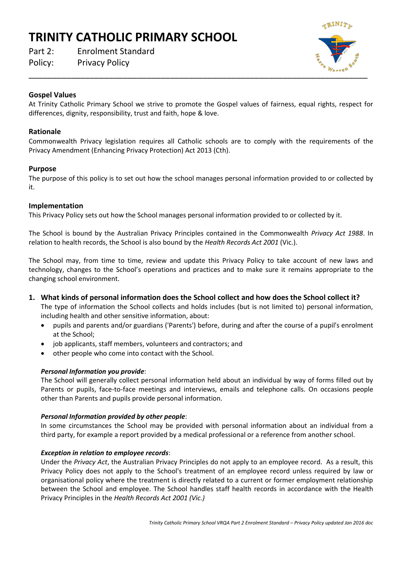# **TRINITY CATHOLIC PRIMARY SCHOOL**

Part 2: Enrolment Standard Policy: Privacy Policy

 $\overline{\phantom{a}}$  ,  $\overline{\phantom{a}}$  ,  $\overline{\phantom{a}}$  ,  $\overline{\phantom{a}}$  ,  $\overline{\phantom{a}}$  ,  $\overline{\phantom{a}}$  ,  $\overline{\phantom{a}}$  ,  $\overline{\phantom{a}}$  ,  $\overline{\phantom{a}}$  ,  $\overline{\phantom{a}}$  ,  $\overline{\phantom{a}}$  ,  $\overline{\phantom{a}}$  ,  $\overline{\phantom{a}}$  ,  $\overline{\phantom{a}}$  ,  $\overline{\phantom{a}}$  ,  $\overline{\phantom{a}}$ 

## **Gospel Values**

At Trinity Catholic Primary School we strive to promote the Gospel values of fairness, equal rights, respect for differences, dignity, responsibility, trust and faith, hope & love.

### **Rationale**

Commonwealth Privacy legislation requires all Catholic schools are to comply with the requirements of the Privacy Amendment (Enhancing Privacy Protection) Act 2013 (Cth).

### **Purpose**

The purpose of this policy is to set out how the school manages personal information provided to or collected by it.

#### **Implementation**

This Privacy Policy sets out how the School manages personal information provided to or collected by it.

The School is bound by the Australian Privacy Principles contained in the Commonwealth *Privacy Act 1988*. In relation to health records, the School is also bound by the *Health Records Act 2001* (Vic.).

The School may, from time to time, review and update this Privacy Policy to take account of new laws and technology, changes to the School's operations and practices and to make sure it remains appropriate to the changing school environment.

- **1. What kinds of personal information does the School collect and how does the School collect it?**  The type of information the School collects and holds includes (but is not limited to) personal information, including health and other sensitive information, about:
	- pupils and parents and/or guardians ('Parents') before, during and after the course of a pupil's enrolment at the School;
	- job applicants, staff members, volunteers and contractors; and
	- other people who come into contact with the School.

## *Personal Information you provide*:

The School will generally collect personal information held about an individual by way of forms filled out by Parents or pupils, face-to-face meetings and interviews, emails and telephone calls. On occasions people other than Parents and pupils provide personal information.

#### *Personal Information provided by other people*:

In some circumstances the School may be provided with personal information about an individual from a third party, for example a report provided by a medical professional or a reference from another school.

#### *Exception in relation to employee records*:

Under the *Privacy Act*, the Australian Privacy Principles do not apply to an employee record. As a result, this Privacy Policy does not apply to the School's treatment of an employee record unless required by law or organisational policy where the treatment is directly related to a current or former employment relationship between the School and employee. The School handles staff health records in accordance with the Health Privacy Principles in the *Health Records Act 2001 (Vic.)*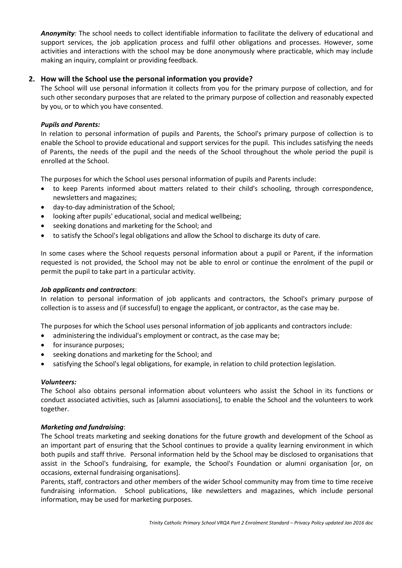*Anonymity:* The school needs to collect identifiable information to facilitate the delivery of educational and support services, the job application process and fulfil other obligations and processes. However, some activities and interactions with the school may be done anonymously where practicable, which may include making an inquiry, complaint or providing feedback.

## **2. How will the School use the personal information you provide?**

The School will use personal information it collects from you for the primary purpose of collection, and for such other secondary purposes that are related to the primary purpose of collection and reasonably expected by you, or to which you have consented.

## *Pupils and Parents:*

In relation to personal information of pupils and Parents, the School's primary purpose of collection is to enable the School to provide educational and support services for the pupil. This includes satisfying the needs of Parents, the needs of the pupil and the needs of the School throughout the whole period the pupil is enrolled at the School.

The purposes for which the School uses personal information of pupils and Parents include:

- to keep Parents informed about matters related to their child's schooling, through correspondence, newsletters and magazines;
- day-to-day administration of the School;
- looking after pupils' educational, social and medical wellbeing;
- seeking donations and marketing for the School; and
- to satisfy the School's legal obligations and allow the School to discharge its duty of care.

In some cases where the School requests personal information about a pupil or Parent, if the information requested is not provided, the School may not be able to enrol or continue the enrolment of the pupil or permit the pupil to take part in a particular activity.

#### *Job applicants and contractors*:

In relation to personal information of job applicants and contractors, the School's primary purpose of collection is to assess and (if successful) to engage the applicant, or contractor, as the case may be.

The purposes for which the School uses personal information of job applicants and contractors include:

- administering the individual's employment or contract, as the case may be;
- for insurance purposes;
- seeking donations and marketing for the School; and
- satisfying the School's legal obligations, for example, in relation to child protection legislation.

#### *Volunteers:*

The School also obtains personal information about volunteers who assist the School in its functions or conduct associated activities, such as [alumni associations], to enable the School and the volunteers to work together.

#### *Marketing and fundraising*:

The School treats marketing and seeking donations for the future growth and development of the School as an important part of ensuring that the School continues to provide a quality learning environment in which both pupils and staff thrive. Personal information held by the School may be disclosed to organisations that assist in the School's fundraising, for example, the School's Foundation or alumni organisation [or, on occasions, external fundraising organisations].

Parents, staff, contractors and other members of the wider School community may from time to time receive fundraising information. School publications, like newsletters and magazines, which include personal information, may be used for marketing purposes.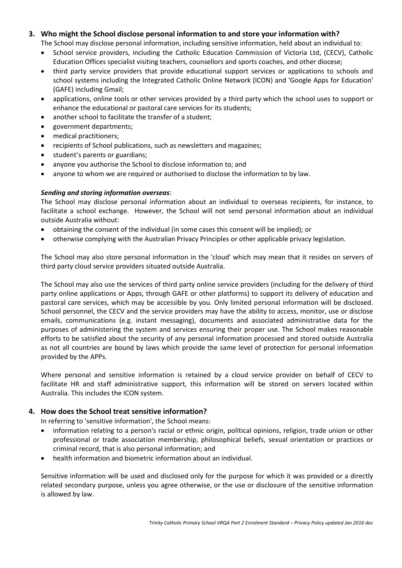## **3. Who might the School disclose personal information to and store your information with?**

The School may disclose personal information, including sensitive information, held about an individual to:

- School service providers, including the Catholic Education Commission of Victoria Ltd, (CECV), Catholic Education Offices specialist visiting teachers, counsellors and sports coaches, and other diocese;
- third party service providers that provide educational support services or applications to schools and school systems including the Integrated Catholic Online Network (ICON) and 'Google Apps for Education' (GAFE) including Gmail;
- applications, online tools or other services provided by a third party which the school uses to support or enhance the educational or pastoral care services for its students;
- another school to facilitate the transfer of a student;
- government departments;
- medical practitioners;
- recipients of School publications, such as newsletters and magazines;
- student's parents or guardians;
- anyone you authorise the School to disclose information to; and
- anyone to whom we are required or authorised to disclose the information to by law.

## *Sending and storing information overseas*:

The School may disclose personal information about an individual to overseas recipients, for instance, to facilitate a school exchange. However, the School will not send personal information about an individual outside Australia without:

- obtaining the consent of the individual (in some cases this consent will be implied); or
- otherwise complying with the Australian Privacy Principles or other applicable privacy legislation.

The School may also store personal information in the 'cloud' which may mean that it resides on servers of third party cloud service providers situated outside Australia.

The School may also use the services of third party online service providers (including for the delivery of third party online applications or Apps, through GAFE or other platforms) to support its delivery of education and pastoral care services, which may be accessible by you. Only limited personal information will be disclosed. School personnel, the CECV and the service providers may have the ability to access, monitor, use or disclose emails, communications (e.g. instant messaging), documents and associated administrative data for the purposes of administering the system and services ensuring their proper use. The School makes reasonable efforts to be satisfied about the security of any personal information processed and stored outside Australia as not all countries are bound by laws which provide the same level of protection for personal information provided by the APPs.

Where personal and sensitive information is retained by a cloud service provider on behalf of CECV to facilitate HR and staff administrative support, this information will be stored on servers located within Australia. This includes the ICON system.

## **4. How does the School treat sensitive information?**

In referring to 'sensitive information', the School means:

- information relating to a person's racial or ethnic origin, political opinions, religion, trade union or other professional or trade association membership, philosophical beliefs, sexual orientation or practices or criminal record, that is also personal information; and
- health information and biometric information about an individual.

Sensitive information will be used and disclosed only for the purpose for which it was provided or a directly related secondary purpose, unless you agree otherwise, or the use or disclosure of the sensitive information is allowed by law.